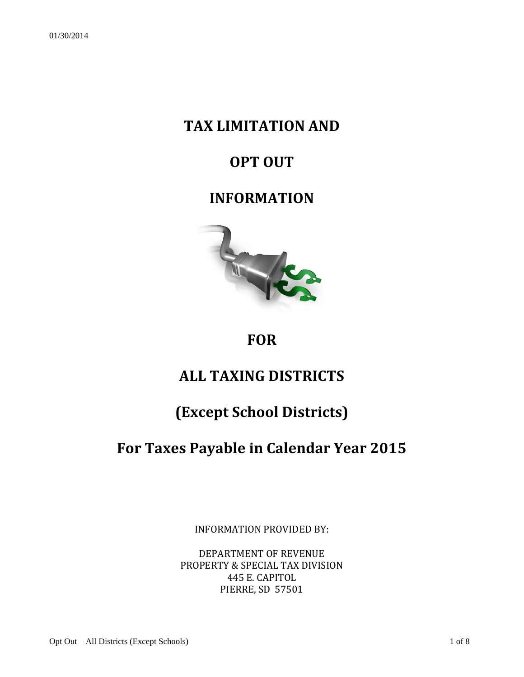## **TAX LIMITATION AND**

## **OPT OUT**

### **INFORMATION**



### **FOR**

# **ALL TAXING DISTRICTS**

## **(Except School Districts)**

## **For Taxes Payable in Calendar Year 2015**

INFORMATION PROVIDED BY:

DEPARTMENT OF REVENUE PROPERTY & SPECIAL TAX DIVISION 445 E. CAPITOL PIERRE, SD 57501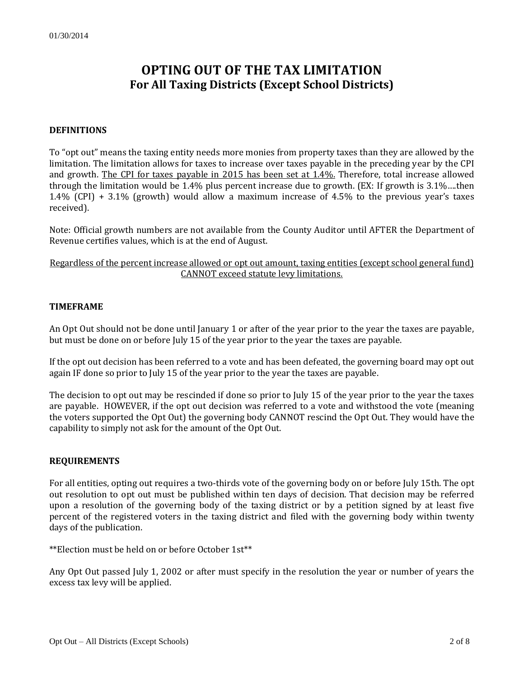### **OPTING OUT OF THE TAX LIMITATION For All Taxing Districts (Except School Districts)**

#### **DEFINITIONS**

To "opt out" means the taxing entity needs more monies from property taxes than they are allowed by the limitation. The limitation allows for taxes to increase over taxes payable in the preceding year by the CPI and growth. The CPI for taxes payable in 2015 has been set at 1.4%. Therefore, total increase allowed through the limitation would be 1.4% plus percent increase due to growth. (EX: If growth is 3.1%….then 1.4% (CPI) + 3.1% (growth) would allow a maximum increase of 4.5% to the previous year's taxes received).

Note: Official growth numbers are not available from the County Auditor until AFTER the Department of Revenue certifies values, which is at the end of August.

Regardless of the percent increase allowed or opt out amount, taxing entities (except school general fund) CANNOT exceed statute levy limitations.

#### **TIMEFRAME**

An Opt Out should not be done until January 1 or after of the year prior to the year the taxes are payable, but must be done on or before July 15 of the year prior to the year the taxes are payable.

If the opt out decision has been referred to a vote and has been defeated, the governing board may opt out again IF done so prior to July 15 of the year prior to the year the taxes are payable.

The decision to opt out may be rescinded if done so prior to July 15 of the year prior to the year the taxes are payable. HOWEVER, if the opt out decision was referred to a vote and withstood the vote (meaning the voters supported the Opt Out) the governing body CANNOT rescind the Opt Out. They would have the capability to simply not ask for the amount of the Opt Out.

#### **REQUIREMENTS**

For all entities, opting out requires a two-thirds vote of the governing body on or before July 15th. The opt out resolution to opt out must be published within ten days of decision. That decision may be referred upon a resolution of the governing body of the taxing district or by a petition signed by at least five percent of the registered voters in the taxing district and filed with the governing body within twenty days of the publication.

\*\*Election must be held on or before October 1st\*\*

Any Opt Out passed July 1, 2002 or after must specify in the resolution the year or number of years the excess tax levy will be applied.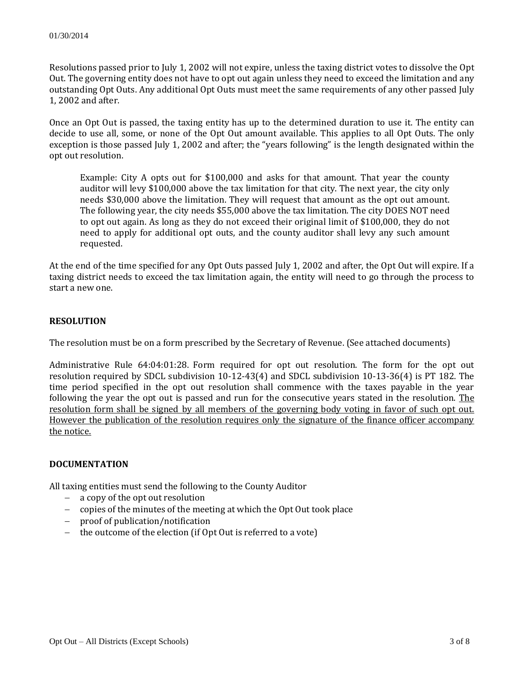Resolutions passed prior to July 1, 2002 will not expire, unless the taxing district votes to dissolve the Opt Out. The governing entity does not have to opt out again unless they need to exceed the limitation and any outstanding Opt Outs. Any additional Opt Outs must meet the same requirements of any other passed July 1, 2002 and after.

Once an Opt Out is passed, the taxing entity has up to the determined duration to use it. The entity can decide to use all, some, or none of the Opt Out amount available. This applies to all Opt Outs. The only exception is those passed July 1, 2002 and after; the "years following" is the length designated within the opt out resolution.

Example: City A opts out for \$100,000 and asks for that amount. That year the county auditor will levy \$100,000 above the tax limitation for that city. The next year, the city only needs \$30,000 above the limitation. They will request that amount as the opt out amount. The following year, the city needs \$55,000 above the tax limitation. The city DOES NOT need to opt out again. As long as they do not exceed their original limit of \$100,000, they do not need to apply for additional opt outs, and the county auditor shall levy any such amount requested.

At the end of the time specified for any Opt Outs passed July 1, 2002 and after, the Opt Out will expire. If a taxing district needs to exceed the tax limitation again, the entity will need to go through the process to start a new one.

#### **RESOLUTION**

The resolution must be on a form prescribed by the Secretary of Revenue. (See attached documents)

Administrative Rule 64:04:01:28. Form required for opt out resolution. The form for the opt out resolution required by SDCL subdivision 10-12-43(4) and SDCL subdivision 10-13-36(4) is PT 182. The time period specified in the opt out resolution shall commence with the taxes payable in the year following the year the opt out is passed and run for the consecutive years stated in the resolution. The resolution form shall be signed by all members of the governing body voting in favor of such opt out. However the publication of the resolution requires only the signature of the finance officer accompany the notice.

#### **DOCUMENTATION**

All taxing entities must send the following to the County Auditor

- a copy of the opt out resolution
- copies of the minutes of the meeting at which the Opt Out took place
- proof of publication/notification
- $-$  the outcome of the election (if Opt Out is referred to a vote)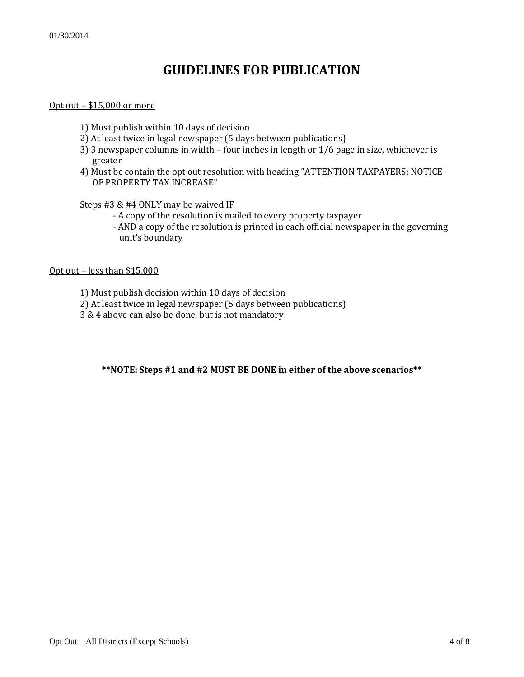### **GUIDELINES FOR PUBLICATION**

#### Opt out – \$15,000 or more

- 1) Must publish within 10 days of decision
- 2) At least twice in legal newspaper (5 days between publications)
- 3) 3 newspaper columns in width four inches in length or 1/6 page in size, whichever is greater
- 4) Must be contain the opt out resolution with heading "ATTENTION TAXPAYERS: NOTICE OF PROPERTY TAX INCREASE"

Steps #3 & #4 ONLY may be waived IF

- A copy of the resolution is mailed to every property taxpayer
- AND a copy of the resolution is printed in each official newspaper in the governing unit's boundary

#### Opt out – less than \$15,000

- 1) Must publish decision within 10 days of decision
- 2) At least twice in legal newspaper (5 days between publications)
- 3 & 4 above can also be done, but is not mandatory

#### **\*\*NOTE: Steps #1 and #2 MUST BE DONE in either of the above scenarios\*\***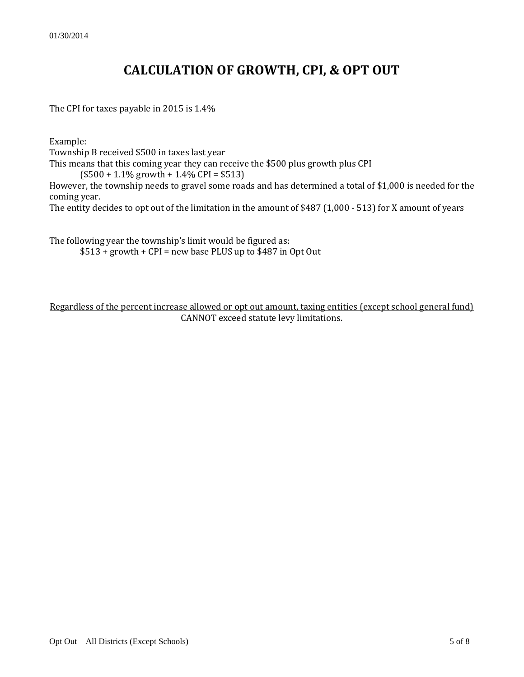### **CALCULATION OF GROWTH, CPI, & OPT OUT**

The CPI for taxes payable in 2015 is 1.4%

Example:

Township B received \$500 in taxes last year

This means that this coming year they can receive the \$500 plus growth plus CPI

 $($500 + 1.1\%$  growth + 1.4% CPI = \$513)

However, the township needs to gravel some roads and has determined a total of \$1,000 is needed for the coming year.

The entity decides to opt out of the limitation in the amount of \$487 (1,000 - 513) for X amount of years

The following year the township's limit would be figured as:

 $$513 + growth + CPI = new base PLUS up to $487 in Opt Out$ 

Regardless of the percent increase allowed or opt out amount, taxing entities (except school general fund) CANNOT exceed statute levy limitations.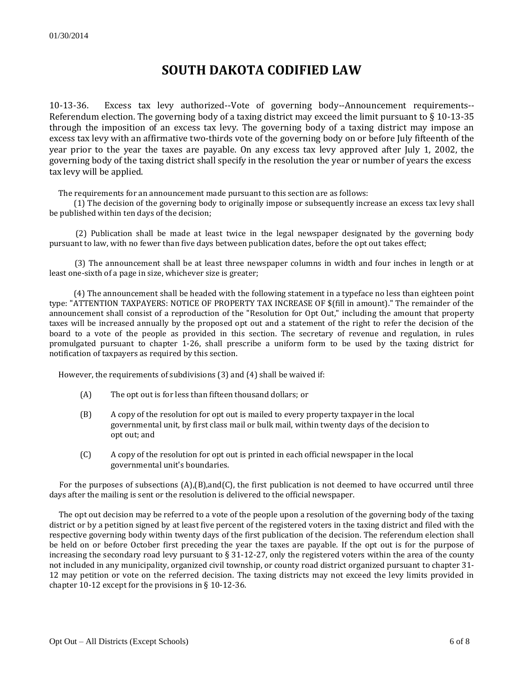### **SOUTH DAKOTA CODIFIED LAW**

10-13-36. Excess tax levy authorized--Vote of governing body--Announcement requirements-- Referendum election. The governing body of a taxing district may exceed the limit pursuant to § 10-13-35 through the imposition of an excess tax levy. The governing body of a taxing district may impose an excess tax levy with an affirmative two-thirds vote of the governing body on or before July fifteenth of the year prior to the year the taxes are payable. On any excess tax levy approved after July 1, 2002, the governing body of the taxing district shall specify in the resolution the year or number of years the excess tax levy will be applied.

The requirements for an announcement made pursuant to this section are as follows:

 (1) The decision of the governing body to originally impose or subsequently increase an excess tax levy shall be published within ten days of the decision;

 (2) Publication shall be made at least twice in the legal newspaper designated by the governing body pursuant to law, with no fewer than five days between publication dates, before the opt out takes effect;

 (3) The announcement shall be at least three newspaper columns in width and four inches in length or at least one-sixth of a page in size, whichever size is greater;

 (4) The announcement shall be headed with the following statement in a typeface no less than eighteen point type: "ATTENTION TAXPAYERS: NOTICE OF PROPERTY TAX INCREASE OF \$(fill in amount)." The remainder of the announcement shall consist of a reproduction of the "Resolution for Opt Out," including the amount that property taxes will be increased annually by the proposed opt out and a statement of the right to refer the decision of the board to a vote of the people as provided in this section. The secretary of revenue and regulation, in rules promulgated pursuant to chapter 1-26, shall prescribe a uniform form to be used by the taxing district for notification of taxpayers as required by this section.

However, the requirements of subdivisions (3) and (4) shall be waived if:

- (A) The opt out is for less than fifteen thousand dollars; or
- (B) A copy of the resolution for opt out is mailed to every property taxpayer in the local governmental unit, by first class mail or bulk mail, within twenty days of the decision to opt out; and
- (C) A copy of the resolution for opt out is printed in each official newspaper in the local governmental unit's boundaries.

For the purposes of subsections  $(A)(B)$ , and  $(C)$ , the first publication is not deemed to have occurred until three days after the mailing is sent or the resolution is delivered to the official newspaper.

 The opt out decision may be referred to a vote of the people upon a resolution of the governing body of the taxing district or by a petition signed by at least five percent of the registered voters in the taxing district and filed with the respective governing body within twenty days of the first publication of the decision. The referendum election shall be held on or before October first preceding the year the taxes are payable. If the opt out is for the purpose of increasing the secondary road levy pursuant to § 31-12-27, only the registered voters within the area of the county not included in any municipality, organized civil township, or county road district organized pursuant to chapter 31- 12 may petition or vote on the referred decision. The taxing districts may not exceed the levy limits provided in chapter 10-12 except for the provisions in § 10-12-36.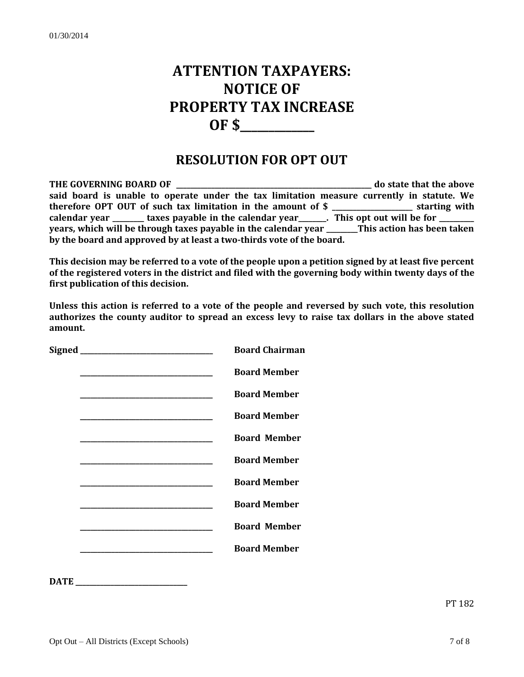# **ATTENTION TAXPAYERS: NOTICE OF PROPERTY TAX INCREASE OF \$\_\_\_\_\_\_\_\_\_\_\_\_\_**

### **RESOLUTION FOR OPT OUT**

**THE GOVERNING BOARD OF**  THE GOVERNING BOARD OF **said board is unable to operate under the tax limitation measure currently in statute. We therefore OPT OUT of such tax limitation in the amount of \$ \_\_\_\_\_\_\_\_\_\_\_\_\_\_\_\_\_\_\_\_\_\_\_ starting with**  calendar year \_\_\_\_\_\_\_ taxes payable in the calendar year \_\_\_\_\_\_. This opt out will be for \_\_\_\_\_\_\_\_ **years, which will be through taxes payable in the calendar year \_\_\_\_\_\_\_\_\_This action has been taken by the board and approved by at least a two-thirds vote of the board.** 

**This decision may be referred to a vote of the people upon a petition signed by at least five percent of the registered voters in the district and filed with the governing body within twenty days of the first publication of this decision.**

**Unless this action is referred to a vote of the people and reversed by such vote, this resolution authorizes the county auditor to spread an excess levy to raise tax dollars in the above stated amount.**

|  | <b>Board Chairman</b> |
|--|-----------------------|
|  | <b>Board Member</b>   |
|  | <b>Board Member</b>   |
|  | <b>Board Member</b>   |
|  | <b>Board Member</b>   |
|  | <b>Board Member</b>   |
|  | <b>Board Member</b>   |
|  | <b>Board Member</b>   |
|  | <b>Board Member</b>   |
|  | <b>Board Member</b>   |
|  |                       |

**DATE \_\_\_\_\_\_\_\_\_\_\_\_\_\_\_\_\_\_\_\_\_\_\_\_\_\_\_\_\_\_\_\_**

PT 182